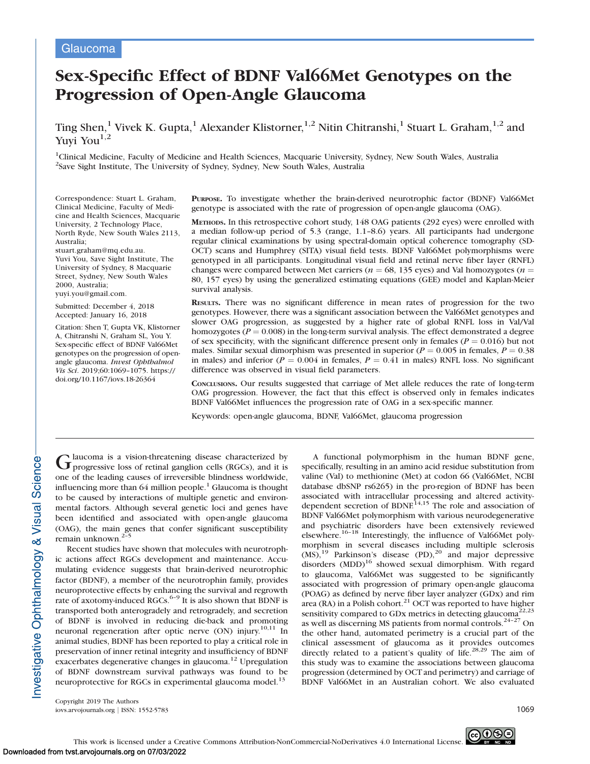# Glaucoma

# Sex-Specific Effect of BDNF Val66Met Genotypes on the Progression of Open-Angle Glaucoma

Ting Shen,<sup>1</sup> Vivek K. Gupta,<sup>1</sup> Alexander Klistorner,<sup>1,2</sup> Nitin Chitranshi,<sup>1</sup> Stuart L. Graham,<sup>1,2</sup> and Yuyi You<sup>1,2</sup>

<sup>1</sup>Clinical Medicine, Faculty of Medicine and Health Sciences, Macquarie University, Sydney, New South Wales, Australia <sup>2</sup>Save Sight Institute, The University of Sydney, Sydney, New South Wales, Australia

Correspondence: Stuart L. Graham, Clinical Medicine, Faculty of Medicine and Health Sciences, Macquarie University, 2 Technology Place, North Ryde, New South Wales 2113, Australia;

stuart.graham@mq.edu.au. Yuvi You, Save Sight Institute, The University of Sydney, 8 Macquarie Street, Sydney, New South Wales 2000, Australia; yuyi.you@gmail.com.

Submitted: December 4, 2018 Accepted: January 16, 2018

Citation: Shen T, Gupta VK, Klistorner A, Chitranshi N, Graham SL, You Y. Sex-specific effect of BDNF Val66Met genotypes on the progression of openangle glaucoma. Invest Ophthalmol Vis Sci. 2019;60:1069–1075. https:// doi.org/10.1167/iovs.18-26364

PURPOSE. To investigate whether the brain-derived neurotrophic factor (BDNF) Val66Met genotype is associated with the rate of progression of open-angle glaucoma (OAG).

METHODS. In this retrospective cohort study, 148 OAG patients (292 eyes) were enrolled with a median follow-up period of 5.3 (range, 1.1–8.6) years. All participants had undergone regular clinical examinations by using spectral-domain optical coherence tomography (SD-OCT) scans and Humphrey (SITA) visual field tests. BDNF Val66Met polymorphisms were genotyped in all participants. Longitudinal visual field and retinal nerve fiber layer (RNFL) changes were compared between Met carriers ( $n = 68, 135$  eyes) and Val homozygotes ( $n =$ 80, 157 eyes) by using the generalized estimating equations (GEE) model and Kaplan-Meier survival analysis.

RESULTS. There was no significant difference in mean rates of progression for the two genotypes. However, there was a significant association between the Val66Met genotypes and slower OAG progression, as suggested by a higher rate of global RNFL loss in Val/Val homozygotes ( $P = 0.008$ ) in the long-term survival analysis. The effect demonstrated a degree of sex specificity, with the significant difference present only in females ( $P = 0.016$ ) but not males. Similar sexual dimorphism was presented in superior ( $P = 0.005$  in females,  $P = 0.38$ ) in males) and inferior ( $P = 0.004$  in females,  $P = 0.41$  in males) RNFL loss. No significant difference was observed in visual field parameters.

CONCLUSIONS. Our results suggested that carriage of Met allele reduces the rate of long-term OAG progression. However, the fact that this effect is observed only in females indicates BDNF Val66Met influences the progression rate of OAG in a sex-specific manner.

Keywords: open-angle glaucoma, BDNF, Val66Met, glaucoma progression

 $G$  laucoma is a vision-threatening disease characterized by progressive loss of retinal ganglion cells (RGCs), and it is one of the leading causes of irreversible blindness worldwide, influencing more than 64 million people.<sup>1</sup> Glaucoma is thought to be caused by interactions of multiple genetic and environmental factors. Although several genetic loci and genes have been identified and associated with open-angle glaucoma (OAG), the main genes that confer significant susceptibility remain unknown.2–5

Recent studies have shown that molecules with neurotrophic actions affect RGCs development and maintenance. Accumulating evidence suggests that brain-derived neurotrophic factor (BDNF), a member of the neurotrophin family, provides neuroprotective effects by enhancing the survival and regrowth rate of axotomy-induced RGCs. $6-9$  It is also shown that BDNF is transported both anterogradely and retrogradely, and secretion of BDNF is involved in reducing die-back and promoting neuronal regeneration after optic nerve (ON) injury.<sup>10,11</sup> In animal studies, BDNF has been reported to play a critical role in preservation of inner retinal integrity and insufficiency of BDNF exacerbates degenerative changes in glaucoma.<sup>12</sup> Upregulation of BDNF downstream survival pathways was found to be neuroprotective for RGCs in experimental glaucoma model.<sup>13</sup>

A functional polymorphism in the human BDNF gene, specifically, resulting in an amino acid residue substitution from valine (Val) to methionine (Met) at codon 66 (Val66Met, NCBI database dbSNP rs6265) in the pro-region of BDNF has been associated with intracellular processing and altered activitydependent secretion of BDNF.<sup>14,15</sup> The role and association of BDNF Val66Met polymorphism with various neurodegenerative and psychiatric disorders have been extensively reviewed elsewhere.<sup>16-18</sup> Interestingly, the influence of Val66Met polymorphism in several diseases including multiple sclerosis  $(MS)$ ,<sup>19</sup> Parkinson's disease (PD),<sup>20</sup> and major depressive disorders (MDD)<sup>16</sup> showed sexual dimorphism. With regard to glaucoma, Val66Met was suggested to be significantly associated with progression of primary open-angle glaucoma (POAG) as defined by nerve fiber layer analyzer (GDx) and rim area (RA) in a Polish cohort. $^{21}$  OCT was reported to have higher sensitivity compared to GDx metrics in detecting glaucoma<sup>22,23</sup> as well as discerning MS patients from normal controls.<sup>24-27</sup> On the other hand, automated perimetry is a crucial part of the clinical assessment of glaucoma as it provides outcomes directly related to a patient's quality of life.<sup>28,29</sup> The aim of this study was to examine the associations between glaucoma progression (determined by OCT and perimetry) and carriage of BDNF Val66Met in an Australian cohort. We also evaluated

Copyright 2019 The Authors iovs.arvojournals.org | ISSN: 1552-5783 1069

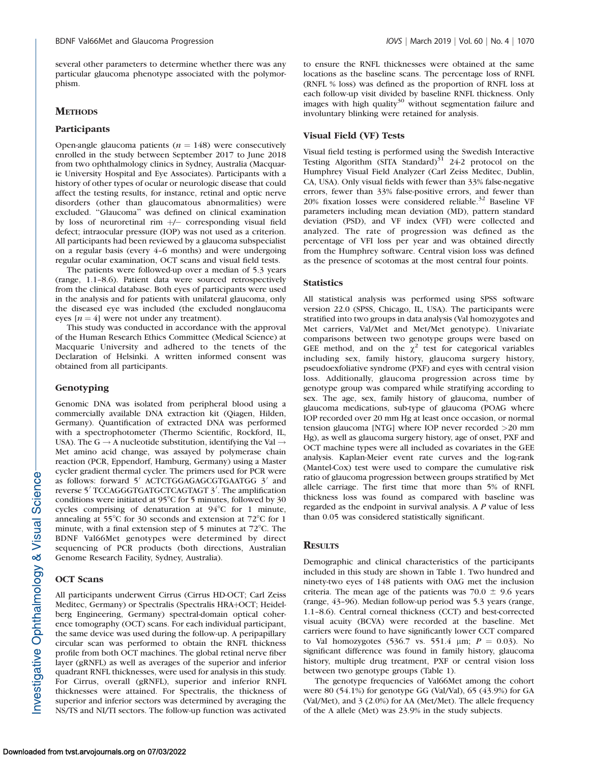several other parameters to determine whether there was any particular glaucoma phenotype associated with the polymorphism.

### **METHODS**

#### Participants

Open-angle glaucoma patients ( $n = 148$ ) were consecutively enrolled in the study between September 2017 to June 2018 from two ophthalmology clinics in Sydney, Australia (Macquarie University Hospital and Eye Associates). Participants with a history of other types of ocular or neurologic disease that could affect the testing results, for instance, retinal and optic nerve disorders (other than glaucomatous abnormalities) were excluded. ''Glaucoma'' was defined on clinical examination by loss of neuroretinal rim +/- corresponding visual field defect; intraocular pressure (IOP) was not used as a criterion. All participants had been reviewed by a glaucoma subspecialist on a regular basis (every 4–6 months) and were undergoing regular ocular examination, OCT scans and visual field tests.

The patients were followed-up over a median of 5.3 years (range, 1.1–8.6). Patient data were sourced retrospectively from the clinical database. Both eyes of participants were used in the analysis and for patients with unilateral glaucoma, only the diseased eye was included (the excluded nonglaucoma eyes  $[n = 4]$  were not under any treatment).

This study was conducted in accordance with the approval of the Human Research Ethics Committee (Medical Science) at Macquarie University and adhered to the tenets of the Declaration of Helsinki. A written informed consent was obtained from all participants.

#### Genotyping

Genomic DNA was isolated from peripheral blood using a commercially available DNA extraction kit (Qiagen, Hilden, Germany). Quantification of extracted DNA was performed with a spectrophotometer (Thermo Scientific, Rockford, IL, USA). The G  $\rightarrow$  A nucleotide substitution, identifying the Val  $\rightarrow$ Met amino acid change, was assayed by polymerase chain reaction (PCR, Eppendorf, Hamburg, Germany) using a Master cycler gradient thermal cycler. The primers used for PCR were as follows: forward 5' ACTCTGGAGAGCGTGAATGG 3' and reverse 5' TCCAGGGTGATGCTCAGTAGT 3'. The amplification conditions were initiated at 95 $°C$  for 5 minutes, followed by 30 cycles comprising of denaturation at  $94^{\circ}$ C for 1 minute, annealing at 55 $\degree$ C for 30 seconds and extension at 72 $\degree$ C for 1 minute, with a final extension step of 5 minutes at  $72^{\circ}$ C. The BDNF Val66Met genotypes were determined by direct sequencing of PCR products (both directions, Australian Genome Research Facility, Sydney, Australia).

#### OCT Scans

All participants underwent Cirrus (Cirrus HD-OCT; Carl Zeiss Meditec, Germany) or Spectralis (Spectralis HRA+OCT; Heidelberg Engineering, Germany) spectral-domain optical coherence tomography (OCT) scans. For each individual participant, the same device was used during the follow-up. A peripapillary circular scan was performed to obtain the RNFL thickness profile from both OCT machines. The global retinal nerve fiber layer (gRNFL) as well as averages of the superior and inferior quadrant RNFL thicknesses, were used for analysis in this study. For Cirrus, overall (gRNFL), superior and inferior RNFL thicknesses were attained. For Spectralis, the thickness of superior and inferior sectors was determined by averaging the NS/TS and NI/TI sectors. The follow-up function was activated

to ensure the RNFL thicknesses were obtained at the same locations as the baseline scans. The percentage loss of RNFL (RNFL % loss) was defined as the proportion of RNFL loss at each follow-up visit divided by baseline RNFL thickness. Only images with high quality $30$  without segmentation failure and involuntary blinking were retained for analysis.

#### Visual Field (VF) Tests

Visual field testing is performed using the Swedish Interactive Testing Algorithm (SITA Standard) $3\overline{1}$  24-2 protocol on the Humphrey Visual Field Analyzer (Carl Zeiss Meditec, Dublin, CA, USA). Only visual fields with fewer than 33% false-negative errors, fewer than 33% false-positive errors, and fewer than 20% fixation losses were considered reliable.<sup>32</sup> Baseline VF parameters including mean deviation (MD), pattern standard deviation (PSD), and VF index (VFI) were collected and analyzed. The rate of progression was defined as the percentage of VFI loss per year and was obtained directly from the Humphrey software. Central vision loss was defined as the presence of scotomas at the most central four points.

#### **Statistics**

All statistical analysis was performed using SPSS software version 22.0 (SPSS, Chicago, IL, USA). The participants were stratified into two groups in data analysis (Val homozygotes and Met carriers, Val/Met and Met/Met genotype). Univariate comparisons between two genotype groups were based on GEE method, and on the  $\chi^2$  test for categorical variables including sex, family history, glaucoma surgery history, pseudoexfoliative syndrome (PXF) and eyes with central vision loss. Additionally, glaucoma progression across time by genotype group was compared while stratifying according to sex. The age, sex, family history of glaucoma, number of glaucoma medications, sub-type of glaucoma (POAG where IOP recorded over 20 mm Hg at least once occasion, or normal tension glaucoma [NTG] where IOP never recorded >20 mm Hg), as well as glaucoma surgery history, age of onset, PXF and OCT machine types were all included as covariates in the GEE analysis. Kaplan-Meier event rate curves and the log-rank (Mantel-Cox) test were used to compare the cumulative risk ratio of glaucoma progression between groups stratified by Met allele carriage. The first time that more than 5% of RNFL thickness loss was found as compared with baseline was regarded as the endpoint in survival analysis. A P value of less than 0.05 was considered statistically significant.

# **RESULTS**

Demographic and clinical characteristics of the participants included in this study are shown in Table 1. Two hundred and ninety-two eyes of 148 patients with OAG met the inclusion criteria. The mean age of the patients was  $70.0 \pm 9.6$  years (range, 43–96). Median follow-up period was 5.3 years (range, 1.1–8.6). Central corneal thickness (CCT) and best-corrected visual acuity (BCVA) were recorded at the baseline. Met carriers were found to have significantly lower CCT compared to Val homozygotes (536.7 vs. 551.4  $\mu$ m;  $P = 0.03$ ). No significant difference was found in family history, glaucoma history, multiple drug treatment, PXF or central vision loss between two genotype groups (Table 1).

The genotype frequencies of Val66Met among the cohort were 80 (54.1%) for genotype GG (Val/Val), 65 (43.9%) for GA (Val/Met), and 3 (2.0%) for AA (Met/Met). The allele frequency of the A allele (Met) was 23.9% in the study subjects.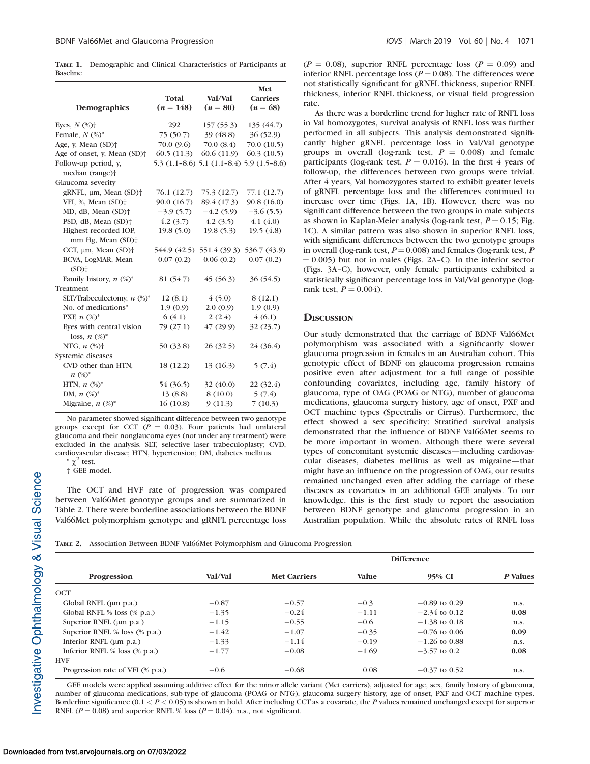|          |  | <b>TABLE 1.</b> Demographic and Clinical Characteristics of Participants at |  |  |
|----------|--|-----------------------------------------------------------------------------|--|--|
| Baseline |  |                                                                             |  |  |

|                                                                  |             |                                           | Met             |
|------------------------------------------------------------------|-------------|-------------------------------------------|-----------------|
|                                                                  | Total       | Val/Val                                   | <b>Carriers</b> |
| Demographics                                                     | $(n = 148)$ | $(n = 80)$                                | $(n = 68)$      |
| Eyes, $N$ (%) $\dagger$                                          | 292         | 157(55.3)                                 | 135(44.7)       |
| Female, $N$ (%)*                                                 | 75 (50.7)   | 39 (48.8)                                 | 36(52.9)        |
| Age, y, Mean (SD) <sup>+</sup>                                   | 70.0 (9.6)  | 70.0(8.4)                                 | 70.0 (10.5)     |
| Age of onset, y, Mean (SD) <sup>+</sup>                          | 60.5(11.3)  | 60.6 (11.9)                               | 60.3(10.5)      |
| Follow-up period, y,<br>median (range) <sup>+</sup>              |             | 5.3 (1.1-8.6) 5.1 (1.1-8.4) 5.9 (1.5-8.6) |                 |
| Glaucoma severity                                                |             |                                           |                 |
| gRNFL, µm, Mean (SD) <sup>+</sup>                                | 76.1 (12.7) | 75.3 (12.7)                               | 77.1 (12.7)     |
| VFI, %, Mean (SD) <sup>+</sup>                                   | 90.0 (16.7) | 89.4 (17.3)                               | 90.8 (16.0)     |
| MD, dB, Mean (SD) <sup>+</sup>                                   | $-3.9(5.7)$ | $-4.2(5.9)$                               | $-3.6(5.5)$     |
| PSD, dB, Mean (SD) <sup>+</sup>                                  | 4.2(3.7)    | 4.2(3.5)                                  | 4.1(4.0)        |
| Highest recorded IOP,<br>mm Hg, Mean (SD) <sup>+</sup>           | 19.8(5.0)   | 19.8(5.3)                                 | 19.5(4.8)       |
| CCT, µm, Mean (SD) <sup>+</sup>                                  |             | 544.9 (42.5) 551.4 (39.3)                 | 536.7 (43.9)    |
| BCVA, LogMAR, Mean<br>$(SD)$ <sup>+</sup>                        | 0.07(0.2)   | 0.06(0.2)                                 | 0.07(0.2)       |
| Family history, $n$ (%)*                                         | 81 (54.7)   | 45(56.3)                                  | 36 (54.5)       |
| Treatment                                                        |             |                                           |                 |
| SLT/Trabeculectomy, $n$ (%)*                                     | 12(8.1)     | 4(5.0)                                    | 8(12.1)         |
| No. of medications*                                              | 1.9(0.9)    | 2.0(0.9)                                  | 1.9(0.9)        |
| PXF, $n$ (%)*                                                    | 6(4.1)      | 2(2.4)                                    | 4(6.1)          |
| Eyes with central vision<br>loss, $n \left(\frac{9}{6}\right)^*$ | 79 (27.1)   | 47(29.9)                                  | 32 (23.7)       |
| NTG, $n$ (%) <sup>+</sup>                                        | 50 (33.8)   | 26 (32.5)                                 | 24 (36.4)       |
| Systemic diseases                                                |             |                                           |                 |
| CVD other than HTN,<br>$n (%)^*$                                 | 18 (12.2)   | 13 (16.3)                                 | 5(7.4)          |
| HTN, $n$ (%) <sup>*</sup>                                        | 54 (36.5)   | 32(40.0)                                  | 22 (32.4)       |
| DM, $n$ (%) <sup>*</sup>                                         | 13(8.8)     | 8(10.0)                                   | 5(7.4)          |
| Migraine, $n$ $(\%)^*$                                           | 16(10.8)    | 9(11.3)                                   | 7(10.3)         |

No parameter showed significant difference between two genotype groups except for CCT ( $P = 0.03$ ). Four patients had unilateral glaucoma and their nonglaucoma eyes (not under any treatment) were excluded in the analysis. SLT, selective laser trabeculoplasty; CVD, cardiovascular disease; HTN, hypertension; DM, diabetes mellitus.

 $*\chi^2$  test. † GEE model.

The OCT and HVF rate of progression was compared between Val66Met genotype groups and are summarized in Table 2. There were borderline associations between the BDNF Val66Met polymorphism genotype and gRNFL percentage loss  $(P = 0.08)$ , superior RNFL percentage loss  $(P = 0.09)$  and inferior RNFL percentage loss ( $P = 0.08$ ). The differences were not statistically significant for gRNFL thickness, superior RNFL thickness, inferior RNFL thickness, or visual field progression rate.

As there was a borderline trend for higher rate of RNFL loss in Val homozygotes, survival analysis of RNFL loss was further performed in all subjects. This analysis demonstrated significantly higher gRNFL percentage loss in Val/Val genotype groups in overall (log-rank test,  $P = 0.008$ ) and female participants (log-rank test,  $P = 0.016$ ). In the first 4 years of follow-up, the differences between two groups were trivial. After 4 years, Val homozygotes started to exhibit greater levels of gRNFL percentage loss and the differences continued to increase over time (Figs. 1A, 1B). However, there was no significant difference between the two groups in male subjects as shown in Kaplan-Meier analysis (log-rank test,  $P = 0.15$ ; Fig. 1C). A similar pattern was also shown in superior RNFL loss, with significant differences between the two genotype groups in overall (log-rank test,  $P = 0.008$ ) and females (log-rank test, P  $(0.005)$  but not in males (Figs. 2A–C). In the inferior sector (Figs. 3A–C), however, only female participants exhibited a statistically significant percentage loss in Val/Val genotype (logrank test,  $P = 0.004$ ).

#### **DISCUSSION**

Our study demonstrated that the carriage of BDNF Val66Met polymorphism was associated with a significantly slower glaucoma progression in females in an Australian cohort. This genotypic effect of BDNF on glaucoma progression remains positive even after adjustment for a full range of possible confounding covariates, including age, family history of glaucoma, type of OAG (POAG or NTG), number of glaucoma medications, glaucoma surgery history, age of onset, PXF and OCT machine types (Spectralis or Cirrus). Furthermore, the effect showed a sex specificity: Stratified survival analysis demonstrated that the influence of BDNF Val66Met seems to be more important in women. Although there were several types of concomitant systemic diseases—including cardiovascular diseases, diabetes mellitus as well as migraine—that might have an influence on the progression of OAG, our results remained unchanged even after adding the carriage of these diseases as covariates in an additional GEE analysis. To our knowledge, this is the first study to report the association between BDNF genotype and glaucoma progression in an Australian population. While the absolute rates of RNFL loss

TABLE 2. Association Between BDNF Val66Met Polymorphism and Glaucoma Progression

|                                      |         |                     | <b>Difference</b> |                 |          |
|--------------------------------------|---------|---------------------|-------------------|-----------------|----------|
| Progression                          | Val/Val | <b>Met Carriers</b> | <b>Value</b>      | 95% CI          | P Values |
| OCT                                  |         |                     |                   |                 |          |
| Global RNFL $(\mu m \text{ p.a.})$   | $-0.87$ | $-0.57$             | $-0.3$            | $-0.89$ to 0.29 | n.s.     |
| Global RNFL % loss (% p.a.)          | $-1.35$ | $-0.24$             | $-1.11$           | $-2.34$ to 0.12 | 0.08     |
| Superior RNFL $(\mu m \text{ p.a.})$ | $-1.15$ | $-0.55$             | $-0.6$            | $-1.38$ to 0.18 | n.s.     |
| Superior RNFL % loss (% p.a.)        | $-1.42$ | $-1.07$             | $-0.35$           | $-0.76$ to 0.06 | 0.09     |
| Inferior RNFL $(\mu m \, p.a.)$      | $-1.33$ | $-1.14$             | $-0.19$           | $-1.26$ to 0.88 | n.s.     |
| Inferior RNFL $\%$ loss ( $\%$ p.a.) | $-1.77$ | $-0.08$             | $-1.69$           | $-3.57$ to 0.2  | 0.08     |
| <b>HVF</b>                           |         |                     |                   |                 |          |
| Progression rate of VFI (% p.a.)     | $-0.6$  | $-0.68$             | 0.08              | $-0.37$ to 0.52 | n.s.     |

GEE models were applied assuming additive effect for the minor allele variant (Met carriers), adjusted for age, sex, family history of glaucoma, number of glaucoma medications, sub-type of glaucoma (POAG or NTG), glaucoma surgery history, age of onset, PXF and OCT machine types. Borderline significance  $(0.1 < P < 0.05)$  is shown in bold. After including CCT as a covariate, the P values remained unchanged except for superior RNFL ( $P = 0.08$ ) and superior RNFL % loss ( $P = 0.04$ ). n.s., not significant.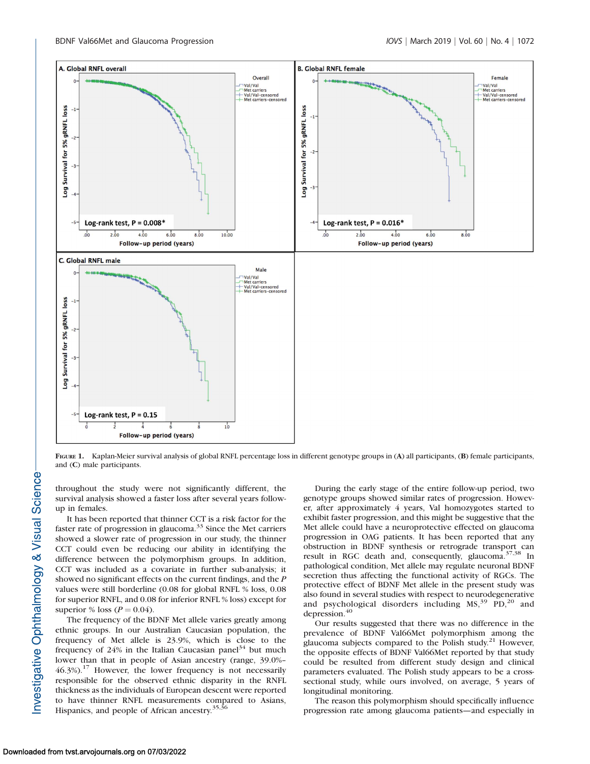

FIGURE 1. Kaplan-Meier survival analysis of global RNFL percentage loss in different genotype groups in (A) all participants, (B) female participants, and (C) male participants.

throughout the study were not significantly different, the survival analysis showed a faster loss after several years followup in females.

It has been reported that thinner CCT is a risk factor for the faster rate of progression in glaucoma. $33$  Since the Met carriers showed a slower rate of progression in our study, the thinner CCT could even be reducing our ability in identifying the difference between the polymorphism groups. In addition, CCT was included as a covariate in further sub-analysis; it showed no significant effects on the current findings, and the P values were still borderline (0.08 for global RNFL % loss, 0.08 for superior RNFL, and 0.08 for inferior RNFL % loss) except for superior % loss ( $P = 0.04$ ).

The frequency of the BDNF Met allele varies greatly among ethnic groups. In our Australian Caucasian population, the frequency of Met allele is 23.9%, which is close to the frequency of 24% in the Italian Caucasian panel<sup>34</sup> but much lower than that in people of Asian ancestry (range, 39.0%– 46.3%).<sup>17</sup> However, the lower frequency is not necessarily responsible for the observed ethnic disparity in the RNFL thickness as the individuals of European descent were reported to have thinner RNFL measurements compared to Asians, Hispanics, and people of African ancestry.<sup>35,36</sup>

During the early stage of the entire follow-up period, two genotype groups showed similar rates of progression. However, after approximately 4 years, Val homozygotes started to exhibit faster progression, and this might be suggestive that the Met allele could have a neuroprotective effected on glaucoma progression in OAG patients. It has been reported that any obstruction in BDNF synthesis or retrograde transport can result in RGC death and, consequently, glaucoma.<sup>37,38</sup> In pathological condition, Met allele may regulate neuronal BDNF secretion thus affecting the functional activity of RGCs. The protective effect of BDNF Met allele in the present study was also found in several studies with respect to neurodegenerative and psychological disorders including  $MS$ ,<sup>39</sup> PD,<sup>20</sup> and depression.<sup>40</sup>

Our results suggested that there was no difference in the prevalence of BDNF Val66Met polymorphism among the glaucoma subjects compared to the Polish study.<sup>21</sup> However, the opposite effects of BDNF Val66Met reported by that study could be resulted from different study design and clinical parameters evaluated. The Polish study appears to be a crosssectional study, while ours involved, on average, 5 years of longitudinal monitoring.

The reason this polymorphism should specifically influence progression rate among glaucoma patients—and especially in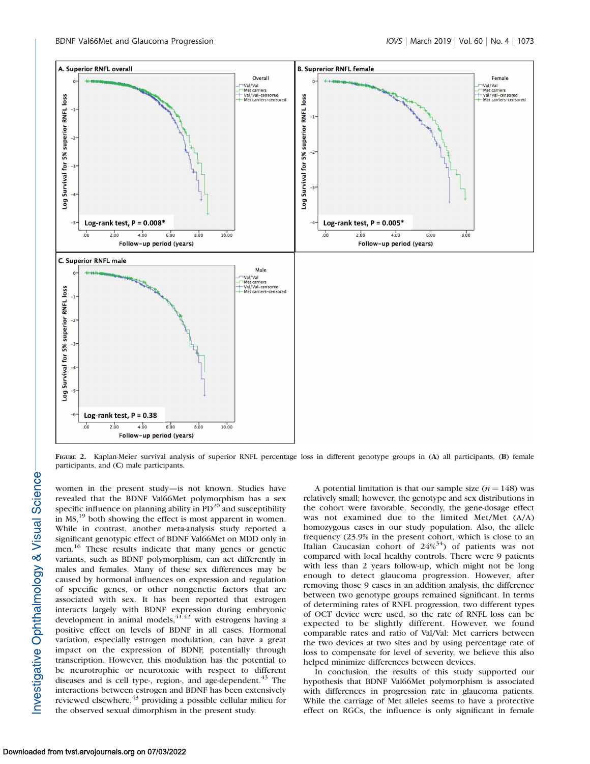

FIGURE 2. Kaplan-Meier survival analysis of superior RNFL percentage loss in different genotype groups in (A) all participants, (B) female participants, and (C) male participants.

women in the present study—is not known. Studies have revealed that the BDNF Val66Met polymorphism has a sex specific influence on planning ability in  $PD^{20}$  and susceptibility in MS,<sup>19</sup> both showing the effect is most apparent in women. While in contrast, another meta-analysis study reported a significant genotypic effect of BDNF Val66Met on MDD only in men.<sup>16</sup> These results indicate that many genes or genetic variants, such as BDNF polymorphism, can act differently in males and females. Many of these sex differences may be caused by hormonal influences on expression and regulation of specific genes, or other nongenetic factors that are associated with sex. It has been reported that estrogen interacts largely with BDNF expression during embryonic development in animal models,  $41,42$  with estrogens having a positive effect on levels of BDNF in all cases. Hormonal variation, especially estrogen modulation, can have a great impact on the expression of BDNF, potentially through transcription. However, this modulation has the potential to be neurotrophic or neurotoxic with respect to different diseases and is cell type-, region-, and age-dependent.<sup>43</sup> The interactions between estrogen and BDNF has been extensively reviewed elsewhere,<sup>43</sup> providing a possible cellular milieu for the observed sexual dimorphism in the present study.

A potential limitation is that our sample size  $(n = 148)$  was relatively small; however, the genotype and sex distributions in the cohort were favorable. Secondly, the gene-dosage effect was not examined due to the limited Met/Met (A/A) homozygous cases in our study population. Also, the allele frequency (23.9% in the present cohort, which is close to an Italian Caucasian cohort of  $24\%^{34}$ ) of patients was not compared with local healthy controls. There were 9 patients with less than 2 years follow-up, which might not be long enough to detect glaucoma progression. However, after removing those 9 cases in an addition analysis, the difference between two genotype groups remained significant. In terms of determining rates of RNFL progression, two different types of OCT device were used, so the rate of RNFL loss can be expected to be slightly different. However, we found comparable rates and ratio of Val/Val: Met carriers between the two devices at two sites and by using percentage rate of loss to compensate for level of severity, we believe this also helped minimize differences between devices.

In conclusion, the results of this study supported our hypothesis that BDNF Val66Met polymorphism is associated with differences in progression rate in glaucoma patients. While the carriage of Met alleles seems to have a protective effect on RGCs, the influence is only significant in female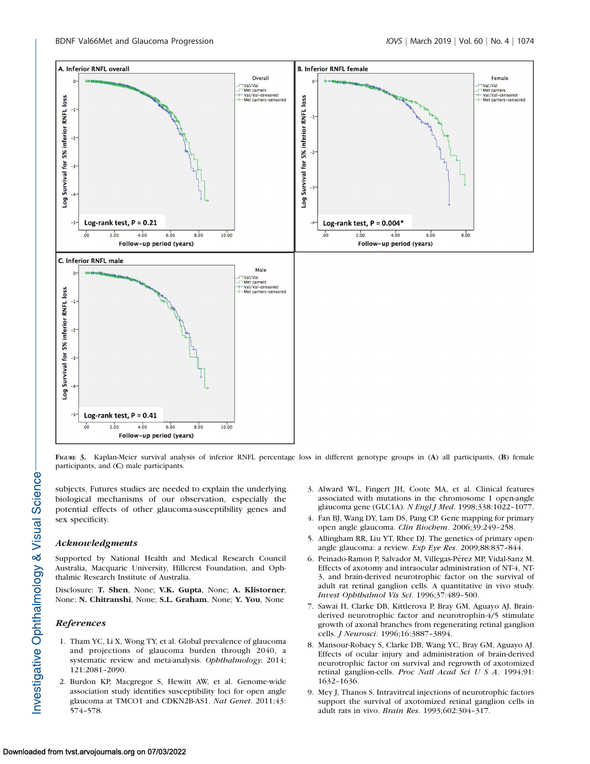

FIGURE 3. Kaplan-Meier survival analysis of inferior RNFL percentage loss in different genotype groups in (A) all participants, (B) female participants, and (C) male participants.

subjects. Futures studies are needed to explain the underlying biological mechanisms of our observation, especially the potential effects of other glaucoma-susceptibility genes and sex specificity.

#### Acknowledgments

Supported by National Health and Medical Research Council Australia, Macquarie University, Hillcrest Foundation, and Ophthalmic Research Institute of Australia.

Disclosure: T. Shen, None; V.K. Gupta, None; A. Klistorner, None; N. Chitranshi, None; S.L. Graham, None; Y. You, None

## References

- 1. Tham YC, Li X, Wong TY, et al. Global prevalence of glaucoma and projections of glaucoma burden through 2040, a systematic review and meta-analysis. Ophthalmology. 2014; 121:2081–2090.
- 2. Burdon KP, Macgregor S, Hewitt AW, et al. Genome-wide association study identifies susceptibility loci for open angle glaucoma at TMCO1 and CDKN2B-AS1. Nat Genet. 2011;43: 574–578.
- 3. Alward WL, Fingert JH, Coote MA, et al. Clinical features associated with mutations in the chromosome 1 open-angle glaucoma gene (GLC1A). N Engl J Med. 1998;338:1022-1077.
- 4. Fan BJ, Wang DY, Lam DS, Pang CP. Gene mapping for primary open angle glaucoma. Clin Biochem. 2006;39:249–258.
- 5. Allingham RR, Liu YT, Rhee DJ. The genetics of primary openangle glaucoma: a review. Exp Eye Res. 2009;88:837–844.
- 6. Peinado-Ramon P, Salvador M, Villegas-Pérez MP, Vidal-Sanz M. Effects of axotomy and intraocular administration of NT-4, NT-3, and brain-derived neurotrophic factor on the survival of adult rat retinal ganglion cells. A quantitative in vivo study. Invest Ophthalmol Vis Sci. 1996;37:489–500.
- 7. Sawai H, Clarke DB, Kittlerova P, Bray GM, Aguayo AJ. Brainderived neurotrophic factor and neurotrophin-4/5 stimulate growth of axonal branches from regenerating retinal ganglion cells. J Neurosci. 1996;16:3887–3894.
- 8. Mansour-Robaey S, Clarke DB, Wang YC, Bray GM, Aguayo AJ. Effects of ocular injury and administration of brain-derived neurotrophic factor on survival and regrowth of axotomized retinal ganglion-cells. Proc Natl Acad Sci U S A. 1994;91: 1632–1636.
- 9. Mey J, Thanos S. Intravitreal injections of neurotrophic factors support the survival of axotomized retinal ganglion cells in adult rats in vivo. Brain Res. 1993;602:304–317.